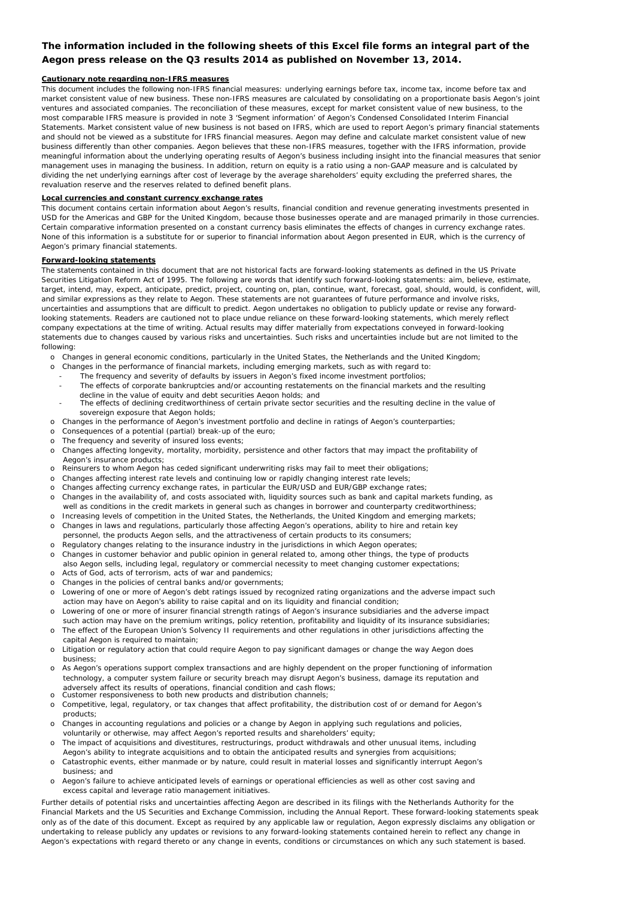## **The information included in the following sheets of this Excel file forms an integral part of the Aegon press release on the Q3 results 2014 as published on November 13, 2014.**

### **Cautionary note regarding non-IFRS measures**

This document includes the following non-IFRS financial measures: underlying earnings before tax, income tax, income before tax and market consistent value of new business. These non-IFRS measures are calculated by consolidating on a proportionate basis Aegon's joint ventures and associated companies. The reconciliation of these measures, except for market consistent value of new business, to the most comparable IFRS measure is provided in note 3 'Segment information' of Aegon's Condensed Consolidated Interim Financial Statements. Market consistent value of new business is not based on IFRS, which are used to report Aegon's primary financial statements and should not be viewed as a substitute for IFRS financial measures. Aegon may define and calculate market consistent value of new business differently than other companies. Aegon believes that these non-IFRS measures, together with the IFRS information, provide meaningful information about the underlying operating results of Aegon's business including insight into the financial measures that senior management uses in managing the business. In addition, return on equity is a ratio using a non-GAAP measure and is calculated by dividing the net underlying earnings after cost of leverage by the average shareholders' equity excluding the preferred shares, the revaluation reserve and the reserves related to defined benefit plans.

#### **Local currencies and constant currency exchange rates**

This document contains certain information about Aegon's results, financial condition and revenue generating investments presented in USD for the Americas and GBP for the United Kingdom, because those businesses operate and are managed primarily in those currencies. Certain comparative information presented on a constant currency basis eliminates the effects of changes in currency exchange rates. None of this information is a substitute for or superior to financial information about Aegon presented in EUR, which is the currency of Aegon's primary financial statements.

## **Forward-looking statements**

The statements contained in this document that are not historical facts are forward-looking statements as defined in the US Private Securities Litigation Reform Act of 1995. The following are words that identify such forward-looking statements: aim, believe, estimate, target, intend, may, expect, anticipate, predict, project, counting on, plan, continue, want, forecast, goal, should, would, is confident, will, and similar expressions as they relate to Aegon. These statements are not guarantees of future performance and involve risks, uncertainties and assumptions that are difficult to predict. Aegon undertakes no obligation to publicly update or revise any forwardlooking statements. Readers are cautioned not to place undue reliance on these forward-looking statements, which merely reflect company expectations at the time of writing. Actual results may differ materially from expectations conveyed in forward-looking statements due to changes caused by various risks and uncertainties. Such risks and uncertainties include but are not limited to the following:

- o Changes in general economic conditions, particularly in the United States, the Netherlands and the United Kingdom;
- o Changes in the performance of financial markets, including emerging markets, such as with regard to:
	- The frequency and severity of defaults by issuers in Aegon's fixed income investment portfolios;
	- The effects of corporate bankruptcies and/or accounting restatements on the financial markets and the resulting decline in the value of equity and debt securities Aegon holds; and
	- The effects of declining creditworthiness of certain private sector securities and the resulting decline in the value of sovereign exposure that Aegon holds;
- o Changes in the performance of Aegon's investment portfolio and decline in ratings of Aegon's counterparties;
- o Consequences of a potential (partial) break-up of the euro;
- o The frequency and severity of insured loss events;
- o Changes affecting longevity, mortality, morbidity, persistence and other factors that may impact the profitability of Aegon's insurance products;
- o Reinsurers to whom Aegon has ceded significant underwriting risks may fail to meet their obligations;
- o Changes affecting interest rate levels and continuing low or rapidly changing interest rate levels;
- o Changes affecting currency exchange rates, in particular the EUR/USD and EUR/GBP exchange rates;
- o Changes in the availability of, and costs associated with, liquidity sources such as bank and capital markets funding, as well as conditions in the credit markets in general such as changes in borrower and counterparty creditworthiness;
- o Increasing levels of competition in the United States, the Netherlands, the United Kingdom and emerging markets; o Changes in laws and regulations, particularly those affecting Aegon's operations, ability to hire and retain key
- personnel, the products Aegon sells, and the attractiveness of certain products to its consumers;
- o Regulatory changes relating to the insurance industry in the jurisdictions in which Aegon operates;
- o Changes in customer behavior and public opinion in general related to, among other things, the type of products also Aegon sells, including legal, regulatory or commercial necessity to meet changing customer expectations;
- o Acts of God, acts of terrorism, acts of war and pandemics;
- o Changes in the policies of central banks and/or governments;
- o Lowering of one or more of Aegon's debt ratings issued by recognized rating organizations and the adverse impact such action may have on Aegon's ability to raise capital and on its liquidity and financial condition;
- o Lowering of one or more of insurer financial strength ratings of Aegon's insurance subsidiaries and the adverse impact such action may have on the premium writings, policy retention, profitability and liquidity of its insurance subsidiaries;
- o The effect of the European Union's Solvency II requirements and other regulations in other jurisdictions affecting the capital Aegon is required to maintain;
- o Litigation or regulatory action that could require Aegon to pay significant damages or change the way Aegon does business;
- o As Aegon's operations support complex transactions and are highly dependent on the proper functioning of information technology, a computer system failure or security breach may disrupt Aegon's business, damage its reputation and adversely affect its results of operations, financial condition and cash flows;
- o Customer responsiveness to both new products and distribution channels;
- Competitive, legal, regulatory, or tax changes that affect profitability, the distribution cost of or demand for Aegon's products;
- Changes in accounting regulations and policies or a change by Aegon in applying such regulations and policies, voluntarily or otherwise, may affect Aegon's reported results and shareholders' equity;
- o The impact of acquisitions and divestitures, restructurings, product withdrawals and other unusual items, including Aegon's ability to integrate acquisitions and to obtain the anticipated results and synergies from acquisitions;
- Catastrophic events, either manmade or by nature, could result in material losses and significantly interrupt Aegon's business; and
- o Aegon's failure to achieve anticipated levels of earnings or operational efficiencies as well as other cost saving and excess capital and leverage ratio management initiatives.

Further details of potential risks and uncertainties affecting Aegon are described in its filings with the Netherlands Authority for the Financial Markets and the US Securities and Exchange Commission, including the Annual Report. These forward-looking statements speak only as of the date of this document. Except as required by any applicable law or regulation, Aegon expressly disclaims any obligation or undertaking to release publicly any updates or revisions to any forward-looking statements contained herein to reflect any change in Aegon's expectations with regard thereto or any change in events, conditions or circumstances on which any such statement is based.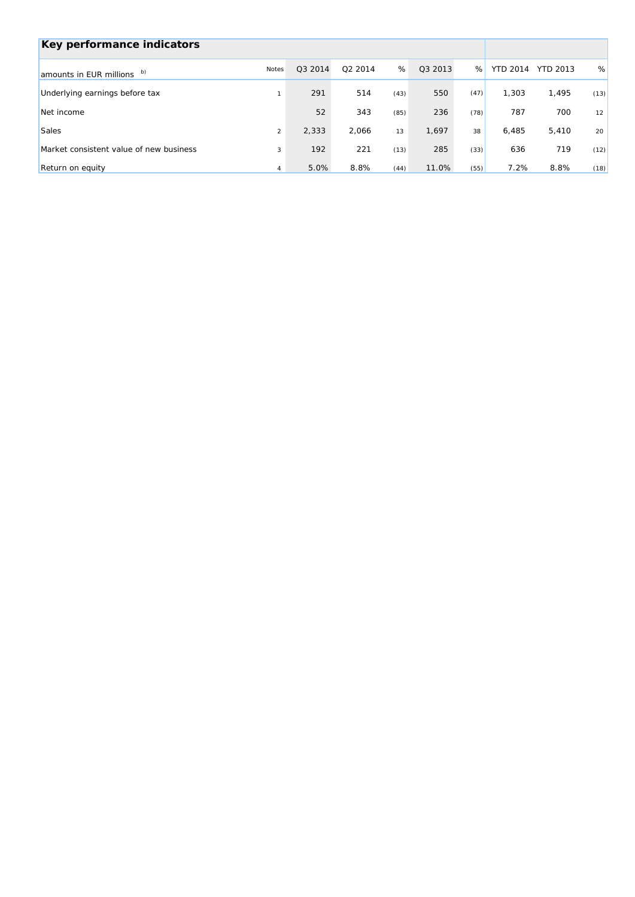| Key performance indicators              |       |                     |                     |      |         |      |                 |                 |      |
|-----------------------------------------|-------|---------------------|---------------------|------|---------|------|-----------------|-----------------|------|
| amounts in EUR millions b)              | Notes | O <sub>3</sub> 2014 | O <sub>2</sub> 2014 | %    | 03 2013 | %    | <b>YTD 2014</b> | <b>YTD 2013</b> | %    |
| Underlying earnings before tax          |       | 291                 | 514                 | (43) | 550     | (47) | 1,303           | 1,495           | (13) |
| Net income                              |       | 52                  | 343                 | (85) | 236     | (78) | 787             | 700             | 12   |
| <b>Sales</b>                            | 2     | 2.333               | 2.066               | 13   | 1,697   | 38   | 6.485           | 5,410           | 20   |
| Market consistent value of new business | 3     | 192                 | 221                 | (13) | 285     | (33) | 636             | 719             | (12) |
| Return on equity                        | 4     | 5.0%                | 8.8%                | (44) | 11.0%   | (55) | 7.2%            | 8.8%            | (18) |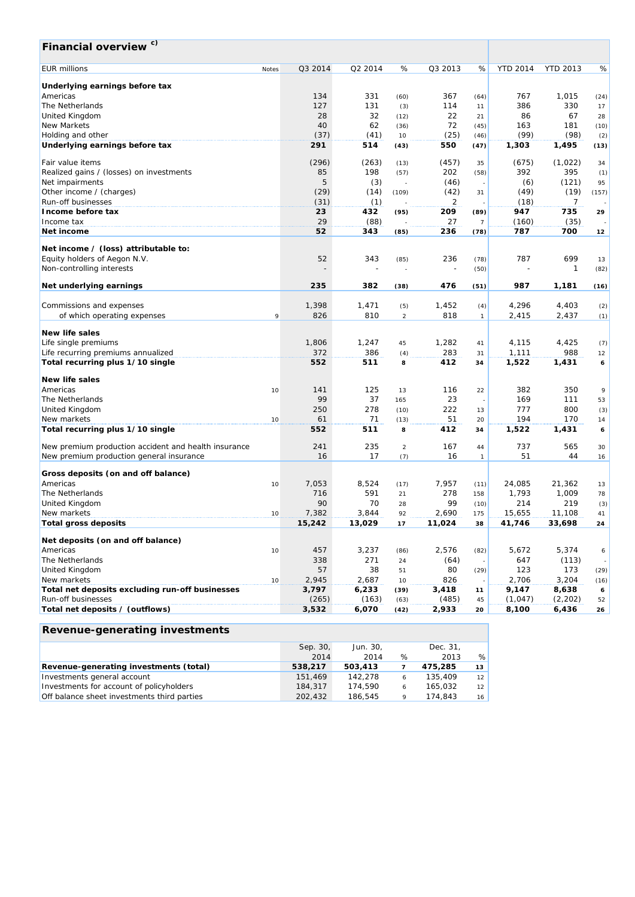| Financial overview <sup>c)</sup>                     |       |         |         |                |         |                     |                 |                 |       |
|------------------------------------------------------|-------|---------|---------|----------------|---------|---------------------|-----------------|-----------------|-------|
| <b>EUR</b> millions                                  | Notes | Q3 2014 | Q2 2014 | %              | Q3 2013 | %                   | <b>YTD 2014</b> | <b>YTD 2013</b> | %     |
|                                                      |       |         |         |                |         |                     |                 |                 |       |
| Underlying earnings before tax                       |       |         |         |                |         |                     |                 |                 |       |
| Americas                                             |       | 134     | 331     | (60)           | 367     | (64)                | 767             | 1,015           | (24)  |
| The Netherlands                                      |       | 127     | 131     | (3)            | 114     | 11                  | 386             | 330             | 17    |
| United Kingdom                                       |       | 28      | 32      | (12)           | 22      | 21                  | 86              | 67              | 28    |
| New Markets                                          |       | 40      | 62      | (36)           | 72      | (45)                | 163             | 181             | (10)  |
| Holding and other                                    |       | (37)    | (41)    | 10             | (25)    | (46)                | (99)            | (98)            | (2)   |
| Underlying earnings before tax                       |       | 291     | 514     | (43)           | 550     | (47)                | 1,303           | 1,495           | (13)  |
| Fair value items                                     |       | (296)   | (263)   | (13)           | (457)   | 35                  | (675)           | (1,022)         | 34    |
| Realized gains / (losses) on investments             |       | 85      | 198     | (57)           | 202     | (58)                | 392             | 395             | (1)   |
| Net impairments                                      |       | 5       | (3)     | ÷,             | (46)    |                     | (6)             | (121)           | 95    |
| Other income / (charges)                             |       | (29)    | (14)    | (109)          | (42)    | 31                  | (49)            | (19)            | (157) |
| Run-off businesses                                   |       | (31)    | (1)     |                | 2       |                     | (18)            | 7               |       |
| Income before tax                                    |       | 23      | 432     | (95)           | 209     | (89)                | 947             | 735             | 29    |
| Income tax                                           |       | 29      | (88)    |                | 27      | 7                   | (160)           | (35)            |       |
| Net income                                           |       | 52      | 343     | (85)           | 236     | (78)                | 787             | 700             | 12    |
|                                                      |       |         |         |                |         |                     |                 |                 |       |
| Net income / (loss) attributable to:                 |       |         |         |                |         |                     |                 |                 |       |
| Equity holders of Aegon N.V.                         |       | 52      | 343     | (85)           | 236     | (78)                | 787             | 699             | 13    |
| Non-controlling interests                            |       |         |         |                |         | (50)                |                 | $\mathbf{1}$    | (82)  |
| Net underlying earnings                              |       | 235     | 382     | (38)           | 476     | (51)                | 987             | 1,181           | (16)  |
| Commissions and expenses                             |       | 1,398   | 1,471   | (5)            | 1,452   | (4)                 | 4,296           | 4,403           | (2)   |
| of which operating expenses                          | 9     | 826     | 810     | $\overline{a}$ | 818     | $\mathcal{I}$       | 2,415           | 2,437           | (1)   |
|                                                      |       |         |         |                |         |                     |                 |                 |       |
| <b>New life sales</b>                                |       |         |         |                |         |                     |                 |                 |       |
| Life single premiums                                 |       | 1,806   | 1,247   | 45             | 1,282   | 41                  | 4,115           | 4,425           | (7)   |
| Life recurring premiums annualized                   |       | 372     | 386     | (4)            | 283     | 31                  | 1,111           | 988             | 12    |
| Total recurring plus 1/10 single                     |       | 552     | 511     | 8              | 412     | 34                  | 1,522           | 1,431           | 6     |
| <b>New life sales</b>                                |       |         |         |                |         |                     |                 |                 |       |
| Americas                                             | 10    | 141     | 125     | 13             | 116     | 22                  | 382             | 350             | 9     |
| The Netherlands                                      |       | 99      | 37      | 165            | 23      |                     | 169             | 111             | 53    |
| United Kingdom                                       |       | 250     | 278     | (10)           | 222     | 13                  | 777             | 800             | (3)   |
| New markets                                          | 10    | 61      | 71      | (13)           | 51      | 20                  | 194             | 170             | 14    |
| Total recurring plus 1/10 single                     |       | 552     | 511     | 8              | 412     | 34                  | 1,522           | 1,431           | 6     |
| New premium production accident and health insurance |       | 241     | 235     | $\overline{a}$ | 167     | 44                  | 737             | 565             | 30    |
| New premium production general insurance             |       | 16      | 17      | (7)            | 16      | $\boldsymbol{\eta}$ | 51              | 44              | 16    |
|                                                      |       |         |         |                |         |                     |                 |                 |       |
| Gross deposits (on and off balance)                  |       |         |         |                |         |                     |                 |                 |       |
| Americas                                             | 10    | 7,053   | 8,524   | (17)           | 7,957   | (11)                | 24,085          | 21,362          | 13    |
| The Netherlands                                      |       | 716     | 591     | 21             | 278     | 158                 | 1,793           | 1,009           | 78    |
| United Kingdom                                       |       | 90      | 70      | 28             | 99      | (10)                | 214             | 219             | (3)   |
| New markets                                          | 10    | 7.382   | 3.844   | 92             | 2.690   | 175                 | 15.655          | 11,108          | 41    |
| <b>Total gross deposits</b>                          |       | 15,242  | 13,029  | 17             | 11,024  | 38                  | 41,746          | 33,698          | 24    |
| Net deposits (on and off balance)                    |       |         |         |                |         |                     |                 |                 |       |
| Americas                                             | 10    | 457     | 3,237   | (86)           | 2,576   | (82)                | 5,672           | 5,374           | 6     |
| The Netherlands                                      |       | 338     | 271     | 24             | (64)    |                     | 647             | (113)           |       |
| <b>United Kingdom</b>                                |       | 57      | 38      | 51             | 80      | (29)                | 123             | 173             | (29)  |
| New markets                                          | 10    | 2,945   | 2,687   | 10             | 826     |                     | 2,706           | 3,204           | (16)  |
| Total net deposits excluding run-off businesses      |       | 3,797   | 6,233   | (39)           | 3,418   | 11                  | 9,147           | 8,638           | 6     |
| Run-off businesses                                   |       | (265)   | (163)   | (63)           | (485)   | 45                  | (1,047)         | (2, 202)        | 52    |
| Total net deposits / (outflows)                      |       | 3,532   | 6,070   | (42)           | 2,933   | 20                  | 8,100           | 6,436           | 26    |

# **Revenue-generating investments**

|                                             | Sep. 30, | Jun. 30. |      | Dec. 31, |    |
|---------------------------------------------|----------|----------|------|----------|----|
|                                             | 2014     | 2014     | $\%$ | 2013     | %  |
| Revenue-generating investments (total)      | 538,217  | 503,413  |      | 475,285  | 13 |
| Investments general account                 | 151.469  | 142.278  | 6    | 135.409  | 12 |
| Investments for account of policyholders    | 184,317  | 174.590  |      | 165.032  | 12 |
| Off balance sheet investments third parties | 202,432  | 186.545  |      | 174.843  | 16 |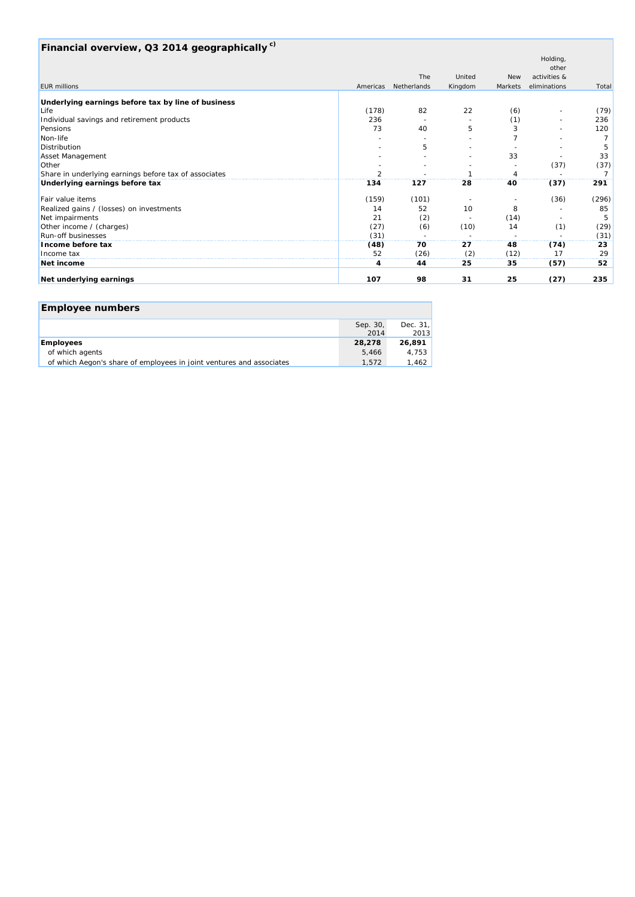|  | Financial overview, Q3 2014 geographically $^{\circ}\!$ |  |
|--|---------------------------------------------------------|--|
|--|---------------------------------------------------------|--|

|                                                       |          |             |         |            | Holding,     |       |
|-------------------------------------------------------|----------|-------------|---------|------------|--------------|-------|
|                                                       |          |             |         |            | other        |       |
|                                                       |          | The         | United  | <b>New</b> | activities & |       |
| <b>EUR</b> millions                                   | Americas | Netherlands | Kingdom | Markets    | eliminations | Total |
| Underlying earnings before tax by line of business    |          |             |         |            |              |       |
| Life                                                  | (178)    | 82          | 22      | (6)        |              | (79)  |
| Individual savings and retirement products            | 236      |             |         | (1)        |              | 236   |
| Pensions                                              | 73       | 40          | 5       |            |              | 120   |
| Non-life                                              |          |             |         |            |              |       |
| <b>Distribution</b>                                   |          | 5           |         |            |              | 5     |
| <b>Asset Management</b>                               |          |             |         | 33         |              | 33    |
| Other                                                 |          |             |         |            | (37)         | (37)  |
| Share in underlying earnings before tax of associates |          |             |         |            |              |       |
| Underlying earnings before tax                        | 134      | 127         | 28      | 40         | (37)         | 291   |
| Fair value items                                      | (159)    | (101)       |         |            | (36)         | (296) |
| Realized gains / (losses) on investments              | 14       | 52          | 10      | 8          |              | 85    |
| Net impairments                                       | 21       | (2)         |         | (14)       |              | 5     |
| Other income / (charges)                              | (27)     | (6)         | (10)    | 14         | (1)          | (29)  |
| Run-off businesses                                    | (31)     |             |         |            |              | (31)  |
| Income before tax                                     | (48)     | 70          | 27      | 48         | (74)         | 23    |
| Income tax                                            | 52       | (26)        | (2)     | (12)       | 17           | 29    |
| Net income                                            | 4        | 44          | 25      | 35         | (57)         | 52    |
| Net underlying earnings                               | 107      | 98          | 31      | 25         | (27)         | 235   |

# **Employee numbers**

|                                                                      | Sep. 30. | Dec. 31. |
|----------------------------------------------------------------------|----------|----------|
|                                                                      | 2014     | 2013     |
| <b>Employees</b>                                                     | 28,278   | 26.891   |
| of which agents                                                      | 5.466    | 4.753    |
| of which Aegon's share of employees in joint ventures and associates | 1.572    | 1.462    |
|                                                                      |          |          |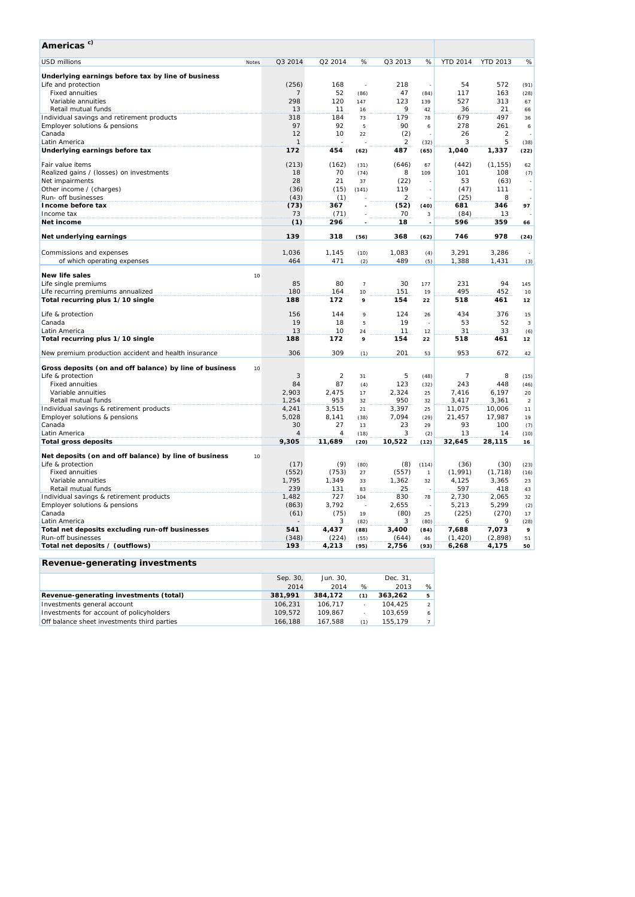| Americas <sup>c)</sup>                                          |       |                         |                          |                |                |               |                 |                 |              |
|-----------------------------------------------------------------|-------|-------------------------|--------------------------|----------------|----------------|---------------|-----------------|-----------------|--------------|
| <b>USD millions</b>                                             | Notes | Q3 2014                 | Q2 2014                  | %              | Q3 2013        | %             | <b>YTD 2014</b> | <b>YTD 2013</b> | %            |
| Underlying earnings before tax by line of business              |       |                         |                          |                |                |               |                 |                 |              |
| Life and protection                                             |       | (256)                   | 168                      |                | 218            |               | 54              | 572             | (91)         |
| <b>Fixed annuities</b>                                          |       | $\overline{7}$          | 52                       | (86)           | 47             | (84)          | 117             | 163             | (28)         |
| Variable annuities                                              |       | 298                     | 120                      | 147            | 123            | 139           | 527             | 313             | 67           |
| Retail mutual funds                                             |       | 13                      | 11                       | 16             | 9              | 42            | 36              | 21              | 66           |
| Individual savings and retirement products                      |       | 318                     | 184                      | 73             | 179            | 78            | 679             | 497             | 36           |
| Employer solutions & pensions                                   |       | 97                      | 92                       | 5              | 90             | 6             | 278             | 261             | 6            |
| Canada                                                          |       | 12                      | 10                       | 22             | (2)            |               | 26              | $\overline{2}$  |              |
| Latin America<br>Underlying earnings before tax                 |       | $\mathbf{1}$<br>172     | 454                      | (62)           | 2<br>487       | (32)<br>(65)  | 3<br>1,040      | 5<br>1,337      | (38)<br>(22) |
|                                                                 |       |                         |                          |                |                |               |                 |                 |              |
| Fair value items<br>Realized gains / (losses) on investments    |       | (213)<br>18             | (162)<br>70              | (31)           | (646)<br>8     | 67            | (442)<br>101    | (1, 155)<br>108 | 62           |
| Net impairments                                                 |       | 28                      | 21                       | (74)<br>37     | (22)           | 109           | 53              | (63)            | (7)          |
| Other income / (charges)                                        |       | (36)                    | (15)                     | (141)          | 119            |               | (47)            | 111             |              |
| Run- off businesses                                             |       | (43)                    | (1)                      |                | $\overline{2}$ |               | (25)            | 8               |              |
| Income before tax                                               |       | (73)                    | 367                      |                | (52)           | (40)          | 681             | 346             | 97           |
| Income tax                                                      |       | 73                      | (71)                     |                | 70             | 3             | (84)            | 13              |              |
| Net income                                                      |       | (1)                     | 296                      |                | 18             |               | 596             | 359             | 66           |
| Net underlying earnings                                         |       | 139                     | 318                      | (56)           | 368            | (62)          | 746             | 978             | (24)         |
| Commissions and expenses                                        |       | 1,036                   | 1,145                    | (10)           | 1,083          | (4)           | 3,291           | 3,286           | ×,           |
| of which operating expenses                                     |       | 464                     | 471                      | (2)            | 489            | (5)           | 1,388           | 1,431           | (3)          |
| New life sales                                                  | 10    |                         |                          |                |                |               |                 |                 |              |
| Life single premiums                                            |       | 85                      | 80                       | $\overline{7}$ | 30             | 177           | 231             | 94              | 145          |
| Life recurring premiums annualized                              |       | 180                     | 164                      | 10             | 151            | 19            | 495             | 452             | 10           |
| Total recurring plus 1/10 single                                |       | 188                     | 172                      | 9              | 154            | 22            | 518             | 461             | 12           |
| Life & protection                                               |       | 156                     | 144                      | 9              | 124            | 26            | 434             | 376             | 15           |
| Canada                                                          |       | 19                      | 18                       | $\sqrt{5}$     | 19             | ×,            | 53              | 52              | $\sqrt{3}$   |
| Latin America                                                   |       | 13                      | 10                       | 24             | 11             | 12            | 31              | 33              | (6)          |
| Total recurring plus 1/10 single                                |       | 188                     | 172                      | 9              | 154            | 22            | 518             | 461             | 12           |
| New premium production accident and health insurance            |       | 306                     | 309                      | (1)            | 201            | 53            | 953             | 672             | 42           |
| Gross deposits (on and off balance) by line of business         | 10    |                         |                          |                |                |               |                 |                 |              |
| Life & protection                                               |       | 3                       | $\overline{2}$           | 31             | 5              | (48)          | $\overline{7}$  | 8               | (15)         |
| <b>Fixed annuities</b>                                          |       | 84                      | 87                       | (4)            | 123            | (32)          | 243             | 448             | (46)         |
| Variable annuities                                              |       | 2,903                   | 2,475                    | 17             | 2,324          | 25            | 7,416           | 6,197           | 20           |
| Retail mutual funds                                             |       | 1,254                   | 953                      | 32             | 950            | 32            | 3,417           | 3,361           | $\sqrt{2}$   |
| Individual savings & retirement products                        |       | 4,241                   | 3,515                    | 21             | 3,397          | 25            | 11,075          | 10,006          | $1\sqrt{1}$  |
| Employer solutions & pensions                                   |       | 5,028                   | 8,141                    | (38)           | 7,094          | (29)          | 21,457          | 17,987          | 19           |
| Canada                                                          |       | 30                      | 27                       | 13             | 23             | 29            | 93              | 100             | (7)          |
| Latin America<br><b>Total gross deposits</b>                    |       | $\overline{4}$<br>9,305 | $\overline{4}$<br>11,689 | (18)<br>(20)   | 3<br>10,522    | (2)<br>(12)   | 13<br>32,645    | 14<br>28,115    | (10)<br>16   |
|                                                                 |       |                         |                          |                |                |               |                 |                 |              |
| Net deposits (on and off balance) by line of business           | 10    |                         |                          |                |                |               |                 |                 |              |
| Life & protection                                               |       | (17)                    | (9)                      | (80)           | (8)            | (114)         | (36)            | (30)            | (23)         |
| <b>Fixed annuities</b>                                          |       | (552)                   | (753)                    | 27             | (557)          | $\mathcal{I}$ | (1, 991)        | (1, 718)        | (16)         |
| Variable annuities                                              |       | 1,795                   | 1,349                    | 33             | 1,362          | 32            | 4,125           | 3,365           | 23           |
| Retail mutual funds<br>Individual savings & retirement products |       | 239<br>1,482            | 131<br>727               | 83<br>104      | 25<br>830      | 78            | 597<br>2,730    | 418<br>2,065    | 43<br>32     |
| Employer solutions & pensions                                   |       | (863)                   | 3,792                    |                | 2,655          |               | 5,213           | 5,299           | (2)          |
| Canada                                                          |       | (61)                    | (75)                     | 19             | (80)           | 25            | (225)           | (270)           | 17           |
| Latin America                                                   |       |                         | 3                        | (82)           | 3              | (80)          | 6               | 9               | (28)         |
| Total net deposits excluding run-off businesses                 |       | 541                     | 4,437                    | (88)           | 3,400          | (84)          | 7,688           | 7,073           | 9            |
| Run-off businesses                                              |       | (348)                   | (224)                    | (55)           | (644)          | 46            | (1, 420)        | (2,898)         | 51           |
| Total net deposits / (outflows)                                 |       | 193                     | 4,213                    | (95)           | 2,756          | (93)          | 6,268           | 4,175           | 50           |
|                                                                 |       |                         |                          |                |                |               |                 |                 |              |
| Revenue-generating investments                                  |       |                         |                          |                |                |               |                 |                 |              |

|                                             | Sep. 30. | Jun. 30. |     | Dec. 31. |                |
|---------------------------------------------|----------|----------|-----|----------|----------------|
|                                             | 2014     | 2014     | %   | 2013     | %              |
| Revenue-generating investments (total)      | 381.991  | 384,172  | (1) | 363,262  | 5              |
| Investments general account                 | 106.231  | 106.717  |     | 104.425  | $\overline{2}$ |
| Investments for account of policyholders    | 109.572  | 109.867  |     | 103.659  | 6              |
| Off balance sheet investments third parties | 166.188  | 167.588  | (1) | 155.179  |                |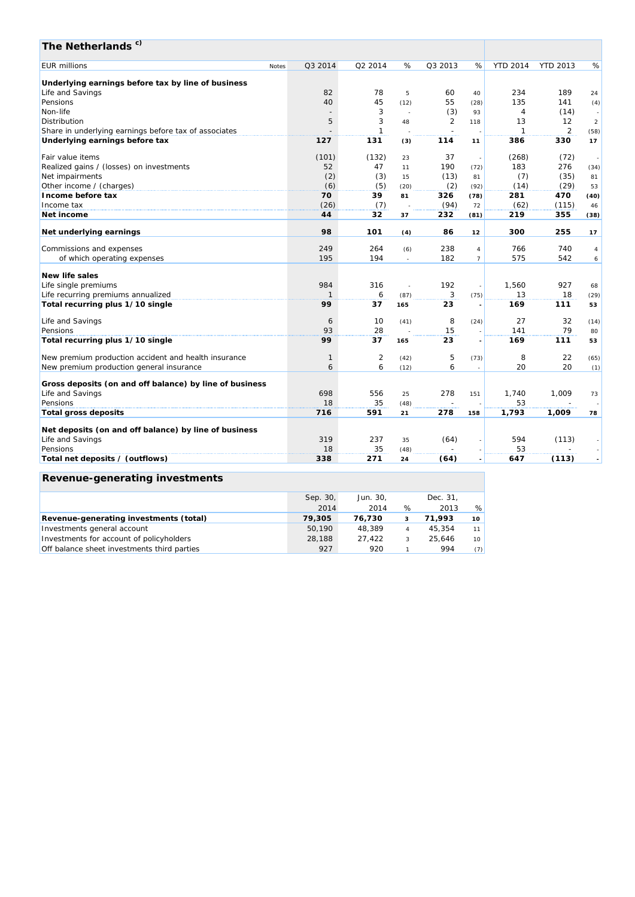| The Netherlands <sup>c)</sup>                           |              |              |         |      |         |                |                 |                 |                |
|---------------------------------------------------------|--------------|--------------|---------|------|---------|----------------|-----------------|-----------------|----------------|
| <b>EUR</b> millions                                     | <b>Notes</b> | Q3 2014      | Q2 2014 | %    | Q3 2013 | %              | <b>YTD 2014</b> | <b>YTD 2013</b> | %              |
| Underlying earnings before tax by line of business      |              |              |         |      |         |                |                 |                 |                |
| Life and Savings                                        |              | 82           | 78      | 5    | 60      | 40             | 234             | 189             | 24             |
| Pensions                                                |              | 40           | 45      | (12) | 55      | (28)           | 135             | 141             | (4)            |
| Non-life                                                |              |              | 3       | ÷.   | (3)     | 93             | 4               | (14)            | $\sim$         |
| Distribution                                            |              | 5            | 3       | 48   | 2       | 118            | 13              | 12              | $\overline{a}$ |
| Share in underlying earnings before tax of associates   |              |              | 1       |      |         |                | 1               | $\overline{c}$  | (58)           |
| Underlying earnings before tax                          |              | 127          | 131     | (3)  | 114     | 11             | 386             | 330             | 17             |
| Fair value items                                        |              | (101)        | (132)   | 23   | 37      |                | (268)           | (72)            | ×.             |
| Realized gains / (losses) on investments                |              | 52           | 47      | 11   | 190     | (72)           | 183             | 276             | (34)           |
| Net impairments                                         |              | (2)          | (3)     | 15   | (13)    | 81             | (7)             | (35)            | 81             |
| Other income / (charges)                                |              | (6)          | (5)     | (20) | (2)     | (92)           | (14)            | (29)            | 53             |
| Income before tax                                       |              | 70           | 39      | 81   | 326     | (78)           | 281             | 470             | (40)           |
| Income tax                                              |              | (26)         | (7)     |      | (94)    | 72             | (62)            | (115)           | 46             |
| Net income                                              |              | 44           | 32      | 37   | 232     | (81)           | 219             | 355             | (38)           |
| Net underlying earnings                                 |              | 98           | 101     | (4)  | 86      | 12             | 300             | 255             | $17$           |
| Commissions and expenses                                |              | 249          | 264     | (6)  | 238     | $\overline{4}$ | 766             | 740             | $\overline{4}$ |
| of which operating expenses                             |              | 195          | 194     | ÷.   | 182     | $\overline{7}$ | 575             | 542             | 6              |
| <b>New life sales</b>                                   |              |              |         |      |         |                |                 |                 |                |
| Life single premiums                                    |              | 984          | 316     |      | 192     |                | 1,560           | 927             | 68             |
| Life recurring premiums annualized                      |              | $\mathbf{1}$ | 6       | (87) | 3       | (75)           | 13              | 18              | (29)           |
| Total recurring plus 1/10 single                        |              | 99           | 37      | 165  | 23      |                | 169             | 111             | 53             |
| Life and Savings                                        |              | 6            | 10      | (41) | 8       | (24)           | 27              | 32              | (14)           |
| Pensions                                                |              | 93           | 28      |      | 15      |                | 141             | 79              | 80             |
| Total recurring plus 1/10 single                        |              | 99           | 37      | 165  | 23      |                | 169             | 111             | 53             |
| New premium production accident and health insurance    |              | $\mathbf{1}$ | 2       | (42) | 5       | (73)           | 8               | 22              | (65)           |
| New premium production general insurance                |              | 6            | 6       | (12) | 6       | $\sim$         | 20              | 20              | (1)            |
| Gross deposits (on and off balance) by line of business |              |              |         |      |         |                |                 |                 |                |
| Life and Savings                                        |              | 698          | 556     | 25   | 278     | 151            | 1,740           | 1,009           | 73             |
| Pensions                                                |              | 18           | 35      | (48) |         |                | 53              |                 |                |
| <b>Total gross deposits</b>                             |              | 716          | 591     | 21   | 278     | 158            | 1,793           | 1,009           | 78             |
| Net deposits (on and off balance) by line of business   |              |              |         |      |         |                |                 |                 |                |
| Life and Savings                                        |              | 319          | 237     | 35   | (64)    |                | 594             | (113)           |                |
| Pensions                                                |              | 18           | 35      | (48) |         |                | 53              |                 |                |
| Total net deposits / (outflows)                         |              | 338          | 271     | 24   | (64)    |                | 647             | (113)           |                |

# **Revenue-generating investments**

|                                             | Sep. 30, | Jun. 30. |                | Dec. 31. |                 |
|---------------------------------------------|----------|----------|----------------|----------|-----------------|
|                                             | 2014     | 2014     | %              | 2013     | %               |
| Revenue-generating investments (total)      | 79,305   | 76.730   | 3              | 71.993   | 10              |
| Investments general account                 | 50.190   | 48.389   | $\overline{4}$ | 45.354   | 11 <sup>1</sup> |
| Investments for account of policyholders    | 28.188   | 27.422   | 3              | 25.646   | 10 <sup>1</sup> |
| Off balance sheet investments third parties | 927      | 920      |                | 994      | (7)             |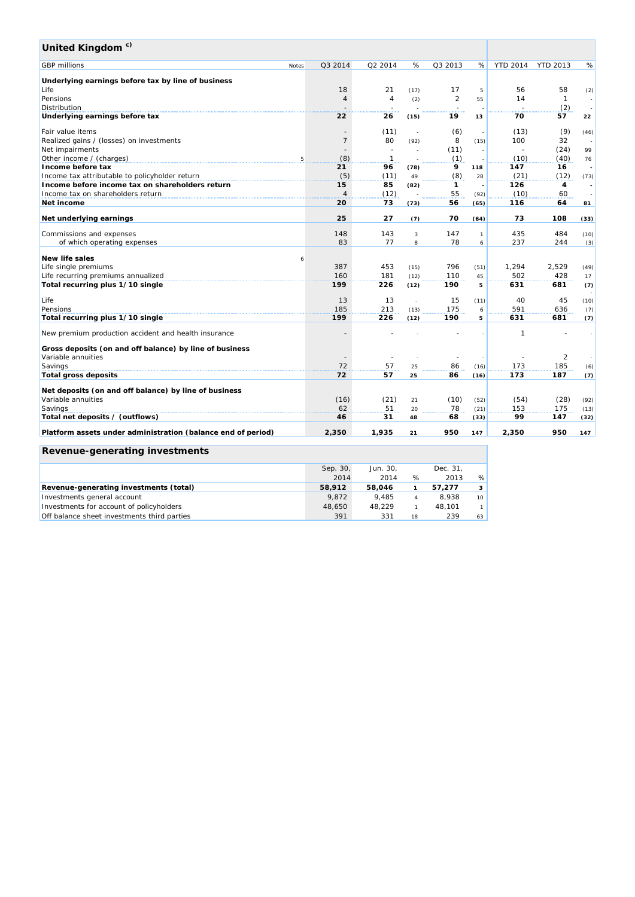| United Kingdom <sup>c)</sup>                                 |                |                          |            |          |                     |                 |                 |              |
|--------------------------------------------------------------|----------------|--------------------------|------------|----------|---------------------|-----------------|-----------------|--------------|
| <b>GBP</b> millions<br>Notes                                 | Q3 2014        | Q2 2014                  | %          | Q3 2013  | %                   | <b>YTD 2014</b> | <b>YTD 2013</b> | %            |
| Underlying earnings before tax by line of business           |                |                          |            |          |                     |                 |                 |              |
| Life                                                         | 18             | 21                       | (17)       | 17       | $\sqrt{5}$          | 56              | 58              | (2)          |
| Pensions                                                     | $\overline{4}$ | 4                        | (2)        | 2        | 55                  | 14              | $\mathbf{1}$    |              |
| Distribution                                                 |                |                          |            |          |                     |                 | (2)             |              |
| Underlying earnings before tax                               | 22             | 26                       | (15)       | 19       | 13                  | 70              | 57              | 22           |
| Fair value items                                             |                | (11)                     |            | (6)      |                     | (13)            | (9)             | (46)         |
| Realized gains / (losses) on investments                     | $\overline{7}$ | 80                       | (92)       | 8        | (15)                | 100             | 32              |              |
| Net impairments                                              |                | $\overline{\phantom{a}}$ |            | (11)     |                     | ÷.              | (24)            | 99           |
| Other income / (charges)<br>5                                | (8)            | $\mathbf{1}$             |            | (1)      |                     | (10)            | (40)            | 76           |
| Income before tax                                            | 21             | 96                       | (78)       | 9        | 118                 | 147             | 16              |              |
| Income tax attributable to policyholder return               | (5)            | (11)                     | 49         | (8)      | 28                  | (21)            | (12)            | (73)         |
| Income before income tax on shareholders return              | 15             | 85                       | (82)       | 1        |                     | 126             | 4               |              |
| Income tax on shareholders return                            | $\overline{4}$ | (12)                     |            | 55       | (92)                | (10)            | 60              |              |
| Net income                                                   | 20             | 73                       | (73)       | 56       | (65)                | 116             | 64              | 81           |
| Net underlying earnings                                      | 25             | 27                       | (7)        | 70       | (64)                | 73              | 108             | (33)         |
| Commissions and expenses                                     | 148            | 143                      | $\sqrt{3}$ | 147      | $\boldsymbol{\eta}$ | 435             | 484             | (10)         |
| of which operating expenses                                  | 83             | 77                       | 8          | 78       | 6                   | 237             | 244             | (3)          |
|                                                              |                |                          |            |          |                     |                 |                 |              |
| <b>New life sales</b><br>6                                   |                |                          |            |          |                     |                 |                 |              |
| Life single premiums                                         | 387            | 453                      | (15)       | 796      | (51)                | 1,294           | 2,529           | (49)         |
| Life recurring premiums annualized                           | 160            | 181                      | (12)       | 110      | 45                  | 502             | 428             | 17           |
| Total recurring plus 1/10 single                             | 199            | 226                      | (12)       | 190      | 5                   | 631             | 681             | (7)          |
| Life                                                         | 13             | 13                       | $\sim$     | 15       | (11)                | 40              | 45              | (10)         |
| Pensions                                                     | 185            | 213                      | (13)       | 175      | 6                   | 591             | 636             | (7)          |
| Total recurring plus 1/10 single                             | 199            | 226                      | (12)       | 190      | 5                   | 631             | 681             | (7)          |
| New premium production accident and health insurance         |                |                          |            |          |                     | 1               |                 |              |
| Gross deposits (on and off balance) by line of business      |                |                          |            |          |                     |                 |                 |              |
| Variable annuities                                           |                |                          |            |          |                     |                 | $\overline{2}$  |              |
| Savings                                                      | 72             | 57                       | 25         | 86       | (16)                | 173             | 185             | (6)          |
| <b>Total gross deposits</b>                                  | 72             | 57                       | 25         | 86       | (16)                | 173             | 187             | (7)          |
|                                                              |                |                          |            |          |                     |                 |                 |              |
| Net deposits (on and off balance) by line of business        |                |                          |            |          |                     |                 |                 |              |
| Variable annuities                                           | (16)<br>62     | (21)                     | 21         | (10)     | (52)                | (54)            | (28)            | (92)         |
| Savings<br>Total net deposits / (outflows)                   | 46             | 51<br>31                 | 20<br>48   | 78<br>68 | (21)<br>(33)        | 153<br>99       | 175<br>147      | (13)<br>(32) |
|                                                              |                |                          |            |          |                     |                 |                 |              |
| Platform assets under administration (balance end of period) | 2,350          | 1,935                    | 21         | 950      | 147                 | 2,350           | 950             | 147          |
| Revenue-generating investments                               |                |                          |            |          |                     |                 |                 |              |
|                                                              | Sep. 30,       | Jun. 30                  |            | Dec. 31, |                     |                 |                 |              |

|                                             | Sep. 30. | Jun. 30. |    | Dec. 31. |      |
|---------------------------------------------|----------|----------|----|----------|------|
|                                             | 2014     | 2014     | %  | 2013     | $\%$ |
| Revenue-generating investments (total)      | 58,912   | 58,046   |    | 57.277   | 3    |
| Investments general account                 | 9.872    | 9.485    |    | 8.938    | 10   |
| Investments for account of policyholders    | 48.650   | 48.229   |    | 48.101   |      |
| Off balance sheet investments third parties | 391      | 331      | 18 | 239      | 63   |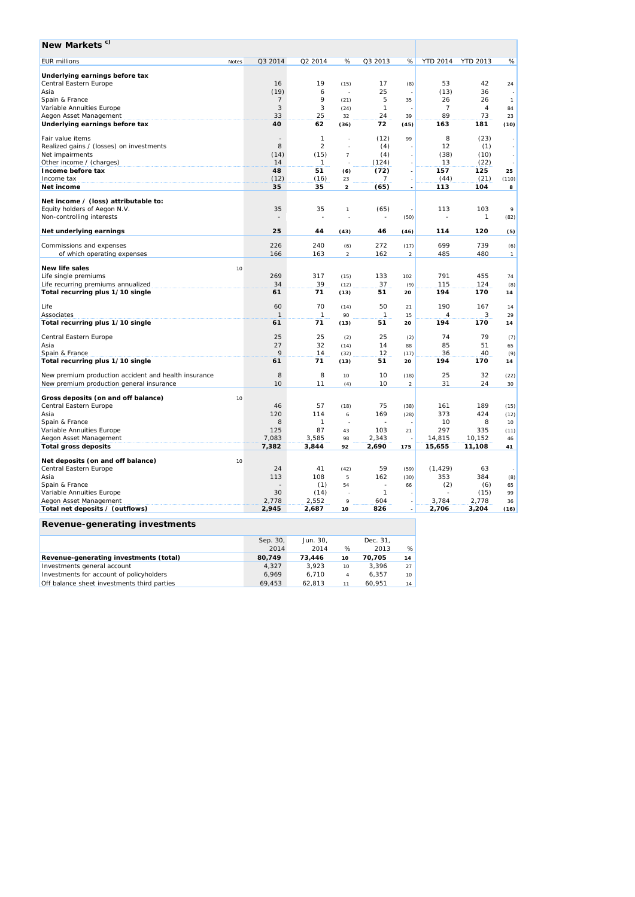| New Markets <sup>c)</sup>                            |                |                |                |                |                        |                 |                 |               |
|------------------------------------------------------|----------------|----------------|----------------|----------------|------------------------|-----------------|-----------------|---------------|
| <b>EUR</b> millions<br>Notes                         | Q3 2014        | Q2 2014        | %              | Q3 2013        | %                      | <b>YTD 2014</b> | <b>YTD 2013</b> | %             |
| Underlying earnings before tax                       |                |                |                |                |                        |                 |                 |               |
| Central Eastern Europe                               | 16             | 19             | (15)           | 17             | (8)                    | 53              | 42              | 24            |
| Asia                                                 | (19)           | 6              |                | 25             |                        | (13)            | 36              |               |
| Spain & France                                       | $\overline{7}$ | 9              | (21)           | 5              | 35                     | 26              | 26              | $\mathcal{I}$ |
| Variable Annuities Europe                            | 3              | 3              | (24)           | $\mathbf{1}$   |                        | $\overline{7}$  | 4               | 84            |
| Aegon Asset Management                               | 33             | 25             | 32             | 24             | 39                     | 89              | 73              | 23            |
| Underlying earnings before tax                       | 40             | 62             | (36)           | 72             | (45)                   | 163             | 181             | (10)          |
| Fair value items                                     |                | $\mathbf{1}$   | ×.             | (12)           | 99                     | 8               | (23)            |               |
| Realized gains / (losses) on investments             | 8              | $\mathfrak{D}$ | ÷              | (4)            |                        | 12              | (1)             |               |
| Net impairments                                      | (14)           | (15)           | $\overline{7}$ | (4)            |                        | (38)            | (10)            | $\sim$        |
| Other income / (charges)                             | 14             | $\mathbf{1}$   |                | (124)          |                        | 13              | (22)            |               |
| Income before tax                                    | 48             | 51             | (6)            | (72)           | ٠                      | 157             | 125             | 25            |
| Income tax                                           | (12)           | (16)           | 23             | 7              |                        | (44)            | (21)            | (110)         |
| Net income                                           | 35             | 35             | $\overline{a}$ | (65)           | $\overline{a}$         | 113             | 104             | 8             |
| Net income / (loss) attributable to:                 |                |                |                |                |                        |                 |                 |               |
| Equity holders of Aegon N.V.                         | 35             | 35             | $\it 7$        | (65)           |                        | 113             | 103             | 9             |
| Non-controlling interests                            | ٠              |                |                | $\overline{a}$ | (50)                   |                 | $\mathcal{I}$   | (82)          |
| Net underlying earnings                              | 25             | 44             | (43)           | 46             | (46)                   | 114             | 120             | (5)           |
| Commissions and expenses                             | 226            | 240            | (6)            | 272            | (17)                   | 699             | 739             | (6)           |
| of which operating expenses                          | 166            | 163            | $\overline{a}$ | 162            | $\overline{a}$         | 485             | 480             | $\mathcal{I}$ |
|                                                      |                |                |                |                |                        |                 |                 |               |
| New life sales<br>10                                 |                |                |                |                |                        |                 |                 |               |
| Life single premiums                                 | 269            | 317            | (15)           | 133            | 102                    | 791             | 455             | 74            |
| Life recurring premiums annualized                   | 34             | 39             | (12)           | 37             | (9)                    | 115             | 124             | (8)           |
| Total recurring plus 1/10 single                     | 61             | 71             | (13)           | 51             | 20                     | 194             | 170             | 14            |
| Life                                                 | 60             | 70             | (14)           | 50             | 21                     | 190             | 167             | 14            |
| Associates                                           | 1              | 1              | 90             | $\mathbf{1}$   | 15                     | 4               | 3               | 29            |
| Total recurring plus 1/10 single                     | 61             | 71             | (13)           | 51             | 20                     | 194             | 170             | 14            |
| Central Eastern Europe                               | 25             | 25             | (2)            | 25             | (2)                    | 74              | 79              | (7)           |
| Asia                                                 | 27             | 32             | (14)           | 14             | 88                     | 85              | 51              | 65            |
| Spain & France                                       | 9              | 14             | (32)           | 12             | (17)                   | 36              | 40              | (9)           |
| Total recurring plus 1/10 single                     | 61             | 71             | (13)           | 51             | 20                     | 194             | 170             | 14            |
|                                                      |                |                |                |                |                        |                 |                 |               |
| New premium production accident and health insurance | 8<br>10        | 8<br>11        | 10             | 10<br>10       | (18)<br>$\overline{a}$ | 25<br>31        | 32<br>24        | (22)          |
| New premium production general insurance             |                |                | (4)            |                |                        |                 |                 | 30            |
| Gross deposits (on and off balance)<br>10            |                |                |                |                |                        |                 |                 |               |
| Central Eastern Europe                               | 46             | 57             | (18)           | 75             | (38)                   | 161             | 189             | (15)          |
| Asia                                                 | 120            | 114            | 6              | 169            | (28)                   | 373             | 424             | (12)          |
| Spain & France                                       | 8              | 1              | J.             |                |                        | 10              | 8               | 10            |
| Variable Annuities Europe                            | 125            | 87             | 43             | 103            | 21                     | 297             | 335             | (11)          |
| Aegon Asset Management                               | 7,083          | 3,585          | 98             | 2,343          |                        | 14,815          | 10,152          | 46            |
| <b>Total gross deposits</b>                          | 7,382          | 3,844          | 92             | 2,690          | 175                    | 15,655          | 11,108          | 41            |
| Net deposits (on and off balance)<br>10              |                |                |                |                |                        |                 |                 |               |
| Central Eastern Europe                               | 24             | 41             | (42)           | 59             | (59)                   | (1, 429)        | 63              |               |
| Asia                                                 | 113            | 108            | $\sqrt{5}$     | 162            | (30)                   | 353             | 384             | (8)           |
| Spain & France                                       |                | (1)            | 54             | ÷,             | 66                     | (2)             | (6)             | 65            |
| Variable Annuities Europe                            | 30             | (14)           |                | $\mathbf{1}$   |                        |                 | (15)            | 99            |
| Aegon Asset Management                               | 2,778          | 2,552          | 9              | 604            | ٠                      | 3,784           | 2,778           | 36            |
| Total net deposits / (outflows)                      | 2,945          | 2,687          | 10             | 826            | $\overline{a}$         | 2,706           | 3,204           | (16)          |
| Revenue-generating investments                       |                |                |                |                |                        |                 |                 |               |

| Sep. 30, | Jun. 30. |                | Dec. 31. |      |
|----------|----------|----------------|----------|------|
| 2014     | 2014     | %              | 2013     | $\%$ |
| 80.749   | 73,446   | 10             | 70.705   | 14   |
| 4.327    | 3.923    | 10             | 3.396    | 27   |
| 6.969    | 6.710    | $\overline{4}$ | 6.357    | 10   |
| 69.453   | 62.813   | 11             | 60.951   | 14   |
|          |          |                |          |      |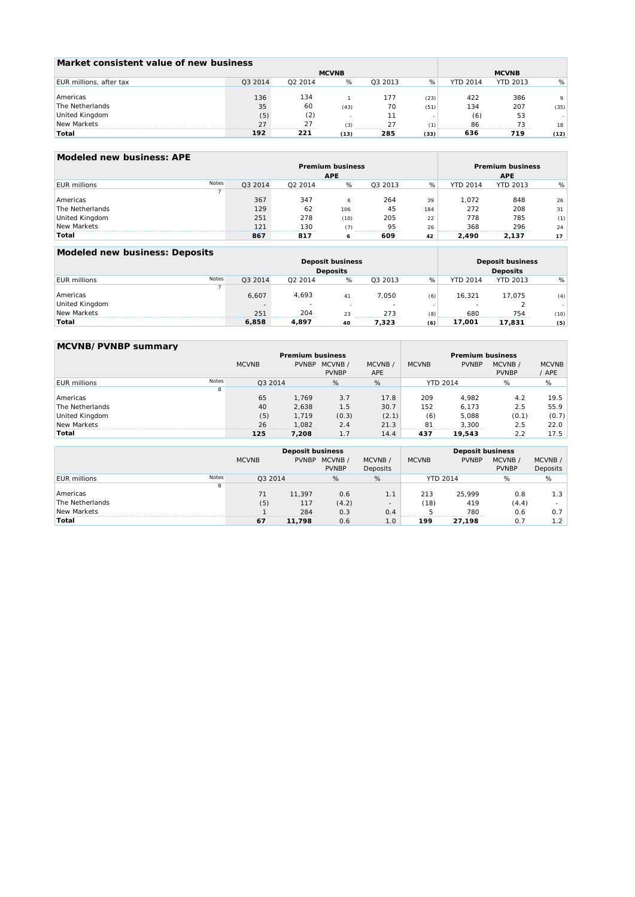| Market consistent value of new business |         |                   |              |         |      |                 |                 |      |
|-----------------------------------------|---------|-------------------|--------------|---------|------|-----------------|-----------------|------|
|                                         |         |                   | <b>MCVNB</b> |         |      |                 | <b>MCVNB</b>    |      |
| EUR millions, after tax                 | Q3 2014 | 02 2014           | %            | Q3 2013 | %    | <b>YTD 2014</b> | <b>YTD 2013</b> | %    |
|                                         |         |                   |              |         |      |                 |                 |      |
| Americas                                | 136     | 134               |              | 177     | (23) | 422             | 386             |      |
| The Netherlands                         | 35      | 60                | (43)         | 70      | (51) | 134             | 207             | (35) |
| United Kingdom                          | (5)     | $\left( 2\right)$ |              |         |      | (6)             | 53              |      |
| New Markets                             | 27      | っっ                | (3)          |         |      | 86              | 73              | 18   |
| Total                                   | 192     | 221               | (13)         | 285     | (33) | 636             | 719             | (12) |

| <b>Modeled new business: APE</b> |              |         |            |                         |         |            |                         |                 |                 |  |
|----------------------------------|--------------|---------|------------|-------------------------|---------|------------|-------------------------|-----------------|-----------------|--|
|                                  |              |         |            | <b>Premium business</b> |         |            | <b>Premium business</b> |                 |                 |  |
|                                  |              |         | <b>APE</b> |                         |         | <b>APE</b> |                         |                 |                 |  |
| <b>EUR</b> millions              | <b>Notes</b> | Q3 2014 | Q2 2014    | %                       | Q3 2013 | %          | <b>YTD 2014</b>         | <b>YTD 2013</b> | %               |  |
|                                  |              |         |            |                         |         |            |                         |                 |                 |  |
| Americas                         |              | 367     | 347        | 6                       | 264     | 39         | 1.072                   | 848             | 26              |  |
| The Netherlands                  |              | 129     | 62         | 106                     | 45      | 184        | 272                     | 208             | 31              |  |
| United Kingdom                   |              | 251     | 278        | (10)                    | 205     | 22         | 778                     | 785             | (1)             |  |
| New Markets                      |              | 121     | 130        | (7)                     | 95<br>. | 26         | 368                     | 296             | 24              |  |
| Total                            |              | 867     | 817        |                         | 609     | 42         | 2.490                   | 2.137           | 17 <sub>2</sub> |  |

## **Modeled new business: Deposits**

|                     | <b>Deposit business</b> |                          |                 |         |     |                          |                 |      |  |
|---------------------|-------------------------|--------------------------|-----------------|---------|-----|--------------------------|-----------------|------|--|
|                     |                         |                          | <b>Deposits</b> |         |     |                          | <b>Deposits</b> |      |  |
| <b>EUR</b> millions | <b>Notes</b><br>Q3 2014 | Q2 2014                  | %               | Q3 2013 | %   | <b>YTD 2014</b>          | YTD 2013        | %    |  |
|                     |                         |                          |                 |         |     |                          |                 |      |  |
| Americas            | 6.607                   | 4.693                    | 41              | 7.050   | (6) | 16.321                   | 17.075          | (4)  |  |
| United Kingdom      |                         | $\overline{\phantom{a}}$ |                 | $\sim$  |     | $\overline{\phantom{a}}$ |                 |      |  |
| New Markets         | 251                     | 204                      | 23              | 273     | (8) | 680                      | 754             | (10) |  |
| Total               | 6,858                   | 4,897                    | 40              | 7,323   | (6) | 17,001                   | 17,831          | (5)  |  |

т

| MCVNB/PVNBP summary   |              |              |                         |                         |                      |                 |                         |                         |                       |
|-----------------------|--------------|--------------|-------------------------|-------------------------|----------------------|-----------------|-------------------------|-------------------------|-----------------------|
|                       |              |              | <b>Premium business</b> |                         |                      |                 | <b>Premium business</b> |                         |                       |
|                       |              | <b>MCVNB</b> | <b>PVNBP</b>            | MCVNB /<br><b>PVNBP</b> | MCVNB/<br><b>APE</b> | <b>MCVNB</b>    | <b>PVNBP</b>            | MCVNB /<br><b>PVNBP</b> | <b>MCVNB</b><br>/ APE |
| <b>EUR</b> millions   | <b>Notes</b> | Q3 2014      |                         | %                       | %                    | <b>YTD 2014</b> |                         | %                       | %                     |
|                       | 8            |              |                         |                         |                      |                 |                         |                         |                       |
| Americas              |              | 65           | 1.769                   | 3.7                     | 17.8                 | 209             | 4.982                   | 4.2                     | 19.5                  |
| The Netherlands       |              | 40           | 2.638                   | 1.5                     | 30.7                 | 152             | 6.173                   | 2.5                     | 55.9                  |
| <b>United Kingdom</b> |              | (5)          | 1.719                   | (0.3)                   | (2.1)                | (6)             | 5.088                   | (0.1)                   | (0.7)                 |
| <b>New Markets</b>    |              | 26           | 1.082                   | 2.4                     | 21.3                 | 81              | 3.300                   | 2.5                     | 22.0                  |
| Total                 |              | 125          | 7.208                   | 1.7                     | 14.4                 | 437             | 19,543                  | 2.2                     | 17.5                  |

|                     |              |              | <b>Deposit business</b> |               |          |              |                 |              |          |
|---------------------|--------------|--------------|-------------------------|---------------|----------|--------------|-----------------|--------------|----------|
|                     |              | <b>MCVNB</b> |                         | PVNBP MCVNB / | MCVNB /  | <b>MCVNB</b> | <b>PVNBP</b>    | MCVNB /      | MCVNB /  |
|                     |              |              |                         | <b>PVNBP</b>  | Deposits |              |                 | <b>PVNBP</b> | Deposits |
| <b>EUR</b> millions | <b>Notes</b> | Q3 2014      |                         | %             | %        |              | <b>YTD 2014</b> | %            | %        |
|                     | 8            |              |                         |               |          |              |                 |              |          |
| Americas            |              | 71           | 11,397                  | 0.6           | 1.1      | 213          | 25.999          | 0.8          | 1.3      |
| The Netherlands     |              | (5)          | 117                     | (4.2)         | $\sim$   | (18)         | 419             | (4.4)        |          |
| New Markets         |              |              | 284                     | 0.3           | 0.4      |              | 780             | 0.6          | 0.7      |
| Total               |              | 67           | 11,798                  | 0.6           | 0.1      | 199          | 27,198          | 0.7          | 1.2      |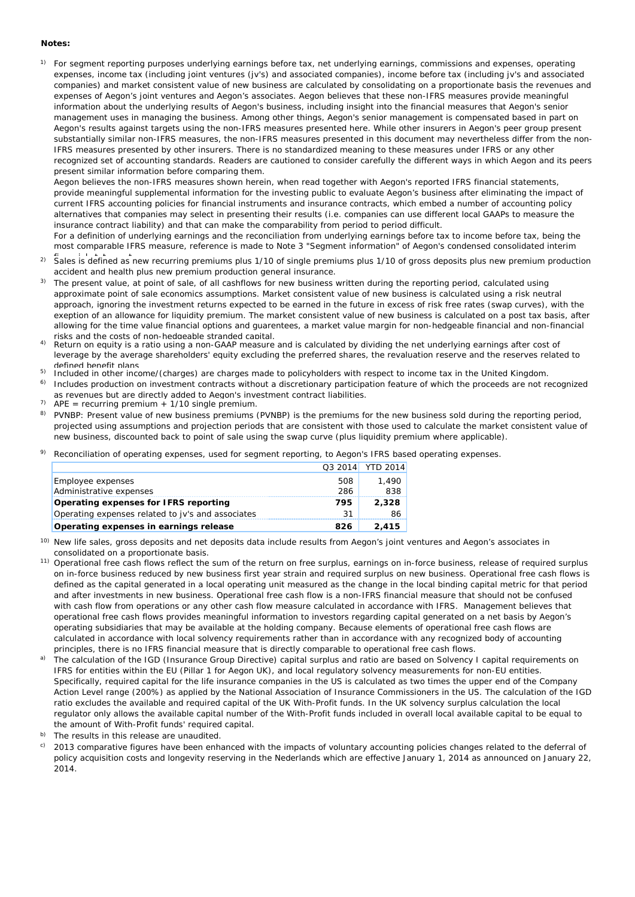#### **Notes:**

1) For segment reporting purposes underlying earnings before tax, net underlying earnings, commissions and expenses, operating expenses, income tax (including joint ventures (jv's) and associated companies), income before tax (including jv's and associated companies) and market consistent value of new business are calculated by consolidating on a proportionate basis the revenues and expenses of Aegon's joint ventures and Aegon's associates. Aegon believes that these non-IFRS measures provide meaningful information about the underlying results of Aegon's business, including insight into the financial measures that Aegon's senior management uses in managing the business. Among other things, Aegon's senior management is compensated based in part on Aegon's results against targets using the non-IFRS measures presented here. While other insurers in Aegon's peer group present substantially similar non-IFRS measures, the non-IFRS measures presented in this document may nevertheless differ from the non-IFRS measures presented by other insurers. There is no standardized meaning to these measures under IFRS or any other recognized set of accounting standards. Readers are cautioned to consider carefully the different ways in which Aegon and its peers present similar information before comparing them.

Aegon believes the non-IFRS measures shown herein, when read together with Aegon's reported IFRS financial statements, provide meaningful supplemental information for the investing public to evaluate Aegon's business after eliminating the impact of current IFRS accounting policies for financial instruments and insurance contracts, which embed a number of accounting policy alternatives that companies may select in presenting their results (i.e. companies can use different local GAAPs to measure the insurance contract liability) and that can make the comparability from period to period difficult.

For a definition of underlying earnings and the reconciliation from underlying earnings before tax to income before tax, being the most comparable IFRS measure, reference is made to Note 3 "Segment information" of Aegon's condensed consolidated interim

- 2) Sales is defined as new recurring premiums plus 1/10 of single premiums plus 1/10 of gross deposits plus new premium production accident and health plus new premium production general insurance.
- 3) The present value, at point of sale, of all cashflows for new business written during the reporting period, calculated using approximate point of sale economics assumptions. Market consistent value of new business is calculated using a risk neutral approach, ignoring the investment returns expected to be earned in the future in excess of risk free rates (swap curves), with the exeption of an allowance for liquidity premium. The market consistent value of new business is calculated on a post tax basis, after allowing for the time value financial options and guarentees, a market value margin for non-hedgeable financial and non-financial risks and the costs of non-hedgeable stranded capital.
- 4) Return on equity is a ratio using a non-GAAP measure and is calculated by dividing the net underlying earnings after cost of leverage by the average shareholders' equity excluding the preferred shares, the revaluation reserve and the reserves related to defined benefit plans
- 5) Included in other income/(charges) are charges made to policyholders with respect to income tax in the United Kingdom.
- 6) Includes production on investment contracts without a discretionary participation feature of which the proceeds are not recognized as revenues but are directly added to Aegon's investment contract liabilities.
- 7)  $APE = recurring premium + 1/10 single premium$ .
- 8) PVNBP: Present value of new business premiums (PVNBP) is the premiums for the new business sold during the reporting period, projected using assumptions and projection periods that are consistent with those used to calculate the market consistent value of new business, discounted back to point of sale using the swap curve (plus liquidity premium where applicable).
- 9) Reconciliation of operating expenses, used for segment reporting, to Aegon's IFRS based operating expenses.

| Operating expenses in earnings release            | 826 | 2,415            |
|---------------------------------------------------|-----|------------------|
| Operating expenses related to jy's and associates | 31  | 86               |
| <b>Operating expenses for IFRS reporting</b>      | 795 | 2,328            |
| Administrative expenses                           | 286 | 838              |
| Employee expenses                                 | 508 | 1,490            |
|                                                   |     | Q3 2014 YTD 2014 |

<sup>10)</sup> New life sales, gross deposits and net deposits data include results from Aegon's joint ventures and Aegon's associates in consolidated on a proportionate basis.

- 11) Operational free cash flows reflect the sum of the return on free surplus, earnings on in-force business, release of required surplus on in-force business reduced by new business first year strain and required surplus on new business. Operational free cash flows is defined as the capital generated in a local operating unit measured as the change in the local binding capital metric for that period and after investments in new business. Operational free cash flow is a non-IFRS financial measure that should not be confused with cash flow from operations or any other cash flow measure calculated in accordance with IFRS. Management believes that operational free cash flows provides meaningful information to investors regarding capital generated on a net basis by Aegon's operating subsidiaries that may be available at the holding company. Because elements of operational free cash flows are calculated in accordance with local solvency requirements rather than in accordance with any recognized body of accounting principles, there is no IFRS financial measure that is directly comparable to operational free cash flows.
- a) The calculation of the IGD (Insurance Group Directive) capital surplus and ratio are based on Solvency I capital requirements on IFRS for entities within the EU (Pillar 1 for Aegon UK), and local regulatory solvency measurements for non-EU entities. Specifically, required capital for the life insurance companies in the US is calculated as two times the upper end of the Company Action Level range (200%) as applied by the National Association of Insurance Commissioners in the US. The calculation of the IGD ratio excludes the available and required capital of the UK With-Profit funds. In the UK solvency surplus calculation the local regulator only allows the available capital number of the With-Profit funds included in overall local available capital to be equal to the amount of With-Profit funds' required capital.

b) The results in this release are unaudited.

c) 2013 comparative figures have been enhanced with the impacts of voluntary accounting policies changes related to the deferral of policy acquisition costs and longevity reserving in the Nederlands which are effective January 1, 2014 as announced on January 22, 2014.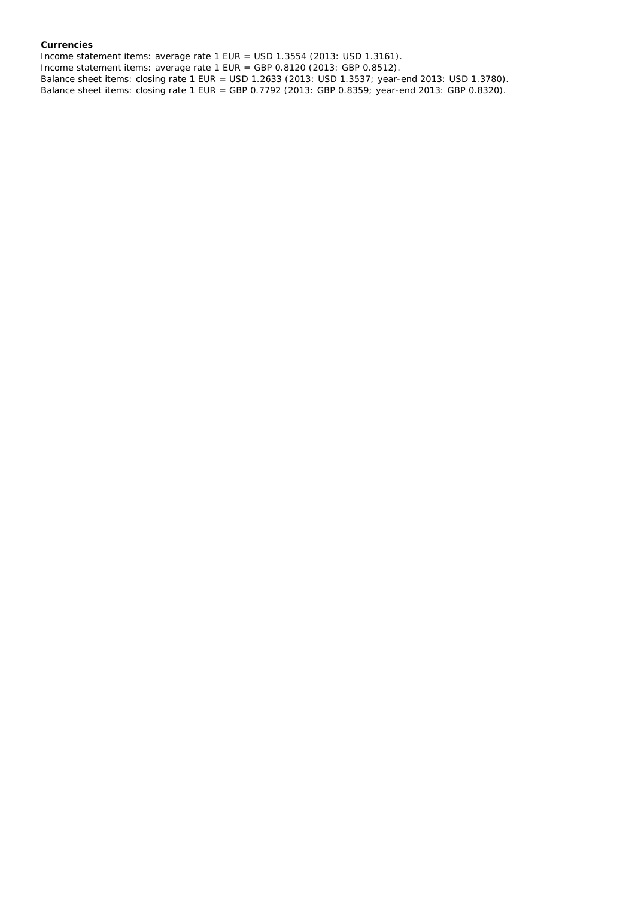## **Currencies**

Income statement items: average rate 1 EUR = USD 1.3554 (2013: USD 1.3161). Income statement items: average rate 1 EUR = GBP 0.8120 (2013: GBP 0.8512). Balance sheet items: closing rate 1 EUR = USD 1.2633 (2013: USD 1.3537; year-end 2013: USD 1.3780). Balance sheet items: closing rate 1 EUR = GBP 0.7792 (2013: GBP 0.8359; year-end 2013: GBP 0.8320).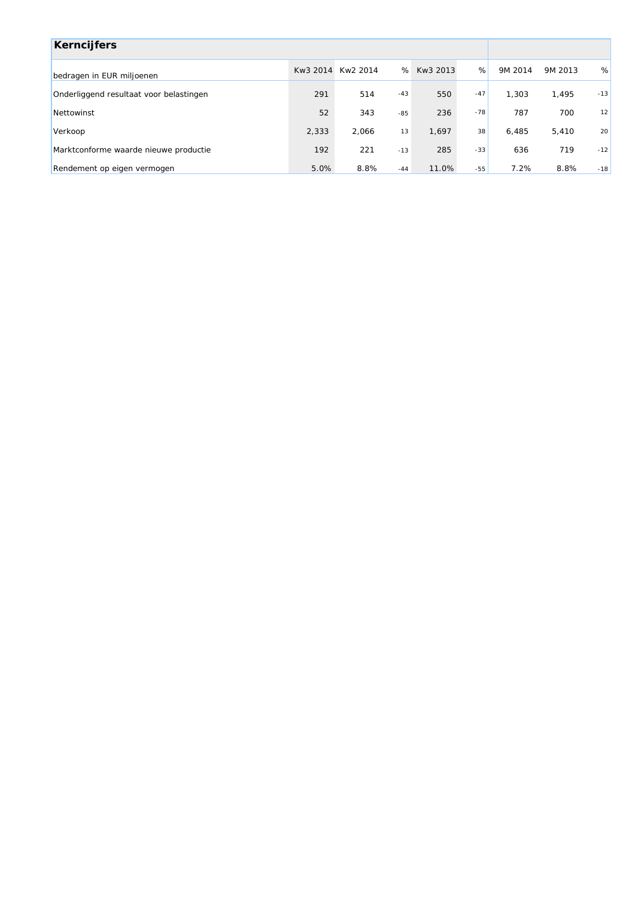| Kerncijfers                             |       |                   |       |          |       |         |         |       |
|-----------------------------------------|-------|-------------------|-------|----------|-------|---------|---------|-------|
| bedragen in EUR miljoenen               |       | Kw3 2014 Kw2 2014 | %     | Kw3 2013 | %     | 9M 2014 | 9M 2013 | %     |
| Onderliggend resultaat voor belastingen | 291   | 514               | $-43$ | 550      | $-47$ | 1.303   | 1,495   | $-13$ |
| Nettowinst                              | 52    | 343               | $-85$ | 236      | $-78$ | 787     | 700     | 12    |
| Verkoop                                 | 2,333 | 2.066             | 13    | 1.697    | 38    | 6.485   | 5,410   | 20    |
| Marktconforme waarde nieuwe productie   | 192   | 221               | $-13$ | 285      | $-33$ | 636     | 719     | $-12$ |
| Rendement op eigen vermogen             | 5.0%  | 8.8%              | $-44$ | 11.0%    | $-55$ | 7.2%    | 8.8%    | $-18$ |